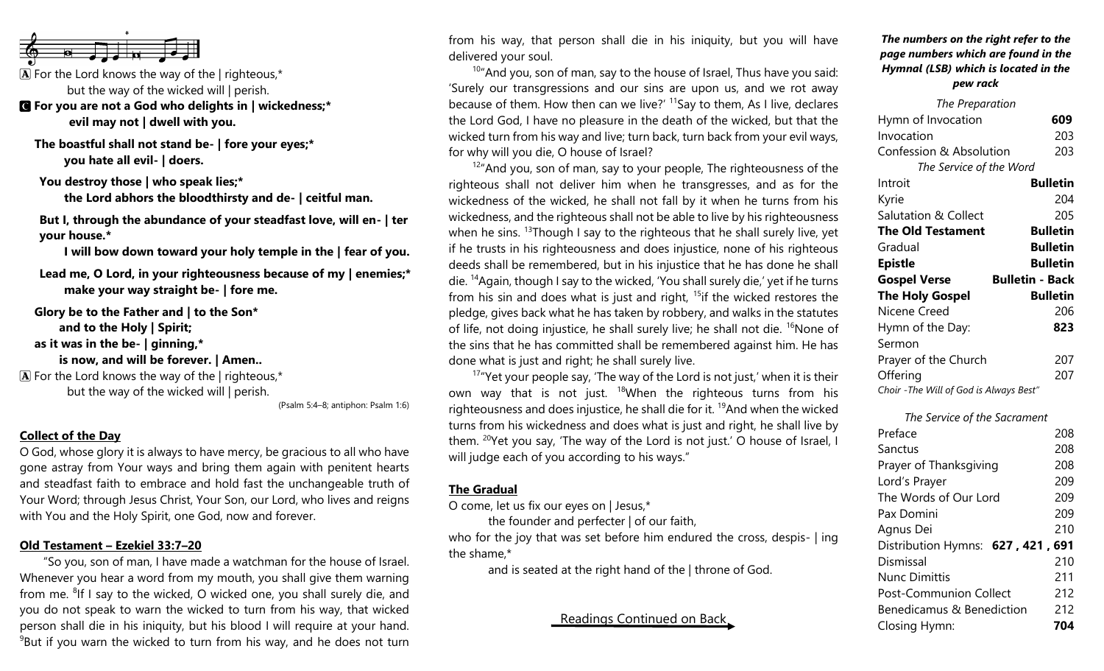

 $\mathbf{\overline{A}}$  For the Lord knows the way of the | righteous,\* but the way of the wicked will | perish.

- C **For you are not a God who delights in | wickedness;\* evil may not | dwell with you.**
	- **The boastful shall not stand be- | fore your eyes;\* you hate all evil- | doers.**

**You destroy those | who speak lies;\***

**the Lord abhors the bloodthirsty and de- | ceitful man.**

**But I, through the abundance of your steadfast love, will en- | ter your house.\***

**I will bow down toward your holy temple in the | fear of you.**

**Lead me, O Lord, in your righteousness because of my | enemies;\* make your way straight be- | fore me.**

**Glory be to the Father and | to the Son\* and to the Holy | Spirit; as it was in the be- | ginning,\* is now, and will be forever. | Amen..**

 $\mathbf{\overline{A}}$  For the Lord knows the way of the | righteous,\* but the way of the wicked will | perish.

(Psalm 5:4–8; antiphon: Psalm 1:6)

## **Collect of the Day**

O God, whose glory it is always to have mercy, be gracious to all who have gone astray from Your ways and bring them again with penitent hearts and steadfast faith to embrace and hold fast the unchangeable truth of Your Word; through Jesus Christ, Your Son, our Lord, who lives and reigns with You and the Holy Spirit, one God, now and forever.

#### **Old Testament – Ezekiel 33:7–20**

"So you, son of man, I have made a watchman for the house of Israel. Whenever you hear a word from my mouth, you shall give them warning from me. <sup>8</sup>If I say to the wicked, O wicked one, you shall surely die, and you do not speak to warn the wicked to turn from his way, that wicked person shall die in his iniquity, but his blood I will require at your hand.  $9B$ ut if you warn the wicked to turn from his way, and he does not turn

from his way, that person shall die in his iniquity, but you will have delivered your soul.

 $10<sup>10</sup>$ "And you, son of man, say to the house of Israel, Thus have you said: 'Surely our transgressions and our sins are upon us, and we rot away because of them. How then can we live?'  $11$ Say to them, As I live, declares the Lord God, I have no pleasure in the death of the wicked, but that the wicked turn from his way and live; turn back, turn back from your evil ways, for why will you die, O house of Israel?

 $12^{\prime\prime}$  And you, son of man, say to your people, The righteousness of the righteous shall not deliver him when he transgresses, and as for the wickedness of the wicked, he shall not fall by it when he turns from his wickedness, and the righteous shall not be able to live by his righteousness when he sins.  $13$ Though I say to the righteous that he shall surely live, yet if he trusts in his righteousness and does injustice, none of his righteous deeds shall be remembered, but in his injustice that he has done he shall die. <sup>14</sup>Again, though I say to the wicked, 'You shall surely die,' yet if he turns from his sin and does what is just and right,  $15$  if the wicked restores the pledge, gives back what he has taken by robbery, and walks in the statutes of life, not doing injustice, he shall surely live; he shall not die.  $16$ None of the sins that he has committed shall be remembered against him. He has done what is just and right; he shall surely live.

 $17"$  Yet your people say, 'The way of the Lord is not just,' when it is their own way that is not just.  $18$ When the righteous turns from his righteousness and does injustice, he shall die for it. <sup>19</sup>And when the wicked turns from his wickedness and does what is just and right, he shall live by them. <sup>20</sup>Yet you say, 'The way of the Lord is not just.' O house of Israel, I will judge each of you according to his ways."

#### **The Gradual**

O come, let us fix our eyes on | Jesus,\*

the founder and perfecter | of our faith, who for the joy that was set before him endured the cross, despis- | ing the shame,\*

and is seated at the right hand of the | throne of God.

# Readings Continued on Back

#### *The numbers on the right refer to the page numbers which are found in the Hymnal (LSB) which is located in the pew rack*

| The Preparation                         |                        |
|-----------------------------------------|------------------------|
| Hymn of Invocation                      | 609                    |
| Invocation                              | 203                    |
| <b>Confession &amp; Absolution</b>      | 203                    |
| The Service of the Word                 |                        |
| Introit                                 | <b>Bulletin</b>        |
| Kyrie                                   | 204                    |
| <b>Salutation &amp; Collect</b>         | 205                    |
| <b>The Old Testament</b>                | <b>Bulletin</b>        |
| Gradual                                 | <b>Bulletin</b>        |
| <b>Epistle</b>                          | <b>Bulletin</b>        |
| <b>Gospel Verse</b>                     | <b>Bulletin - Back</b> |
| <b>The Holy Gospel</b>                  | <b>Bulletin</b>        |
| Nicene Creed                            | 206                    |
| Hymn of the Day:                        | 823                    |
| Sermon                                  |                        |
| Prayer of the Church                    | 207                    |
| Offering                                | 207                    |
| Choir - The Will of God is Always Best" |                        |

*The Service of the Sacrament*

| Preface                           | 208 |
|-----------------------------------|-----|
| Sanctus                           | 208 |
| Prayer of Thanksgiving            | 208 |
| Lord's Prayer                     | 209 |
| The Words of Our Lord             | 209 |
| Pax Domini                        | 209 |
| Agnus Dei                         | 210 |
| Distribution Hymns: 627, 421, 691 |     |
| Dismissal                         | 210 |
| <b>Nunc Dimittis</b>              | 211 |
| <b>Post-Communion Collect</b>     | 212 |
| Benedicamus & Benediction         | 212 |
| Closing Hymn:                     | 704 |
|                                   |     |